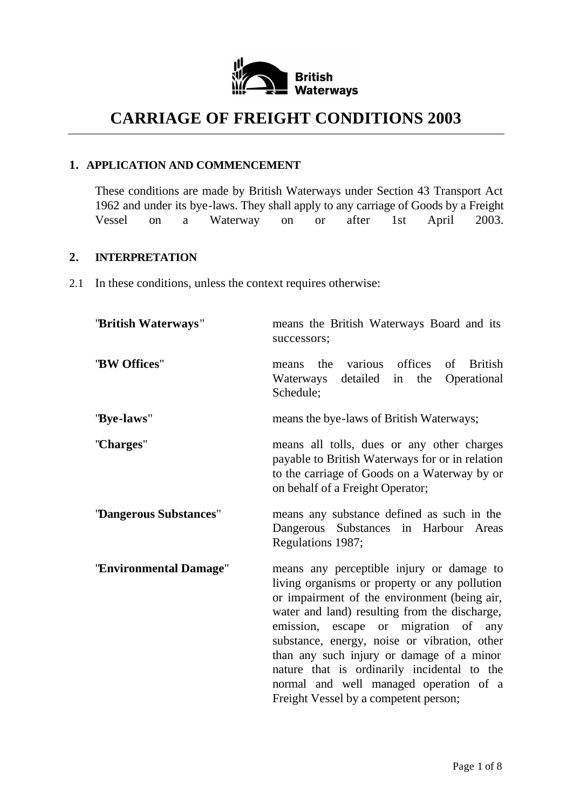

# **CARRIAGE OF FREIGHT CONDITIONS 2003**

#### **1. APPLICATION AND COMMENCEMENT**

These conditions are made by British Waterways under Section 43 Transport Act 1962 and under its bye-laws. They shall apply to any carriage of Goods by a Freight Vessel on a Waterway on or after 1st April 2003.

#### **2. INTERPRETATION**

2.1 In these conditions, unless the context requires otherwise:

| "British Waterways"      | means the British Waterways Board and its<br>successors;                                                                                                                                                                                                                                                                                                                                                                                                           |
|--------------------------|--------------------------------------------------------------------------------------------------------------------------------------------------------------------------------------------------------------------------------------------------------------------------------------------------------------------------------------------------------------------------------------------------------------------------------------------------------------------|
| "BW Offices"             | various offices of British<br>the<br>means<br>detailed in the<br>Operational<br>Waterways<br>Schedule;                                                                                                                                                                                                                                                                                                                                                             |
| "Bye-laws"               | means the bye-laws of British Waterways;                                                                                                                                                                                                                                                                                                                                                                                                                           |
| "Charges"                | means all tolls, dues or any other charges<br>payable to British Waterways for or in relation<br>to the carriage of Goods on a Waterway by or<br>on behalf of a Freight Operator;                                                                                                                                                                                                                                                                                  |
| "Dangerous Substances"   | means any substance defined as such in the<br>Dangerous Substances in Harbour Areas<br>Regulations 1987;                                                                                                                                                                                                                                                                                                                                                           |
| ''Environmental Damage'' | means any perceptible injury or damage to<br>living organisms or property or any pollution<br>or impairment of the environment (being air,<br>water and land) resulting from the discharge,<br>emission, escape or migration of any<br>substance, energy, noise or vibration, other<br>than any such injury or damage of a minor<br>nature that is ordinarily incidental to the<br>normal and well managed operation of a<br>Freight Vessel by a competent person; |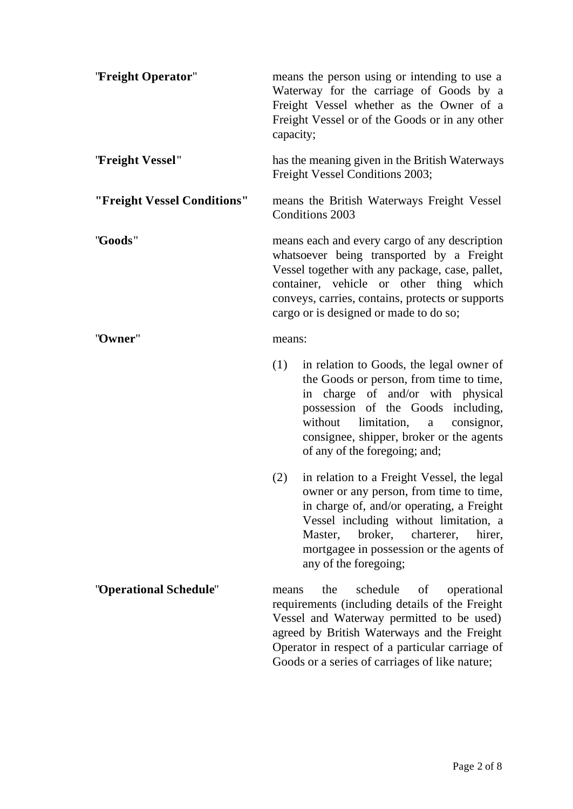| "Freight Operator"          | capacity;                                                                                                                                                                                                                                                                              | means the person using or intending to use a<br>Waterway for the carriage of Goods by a<br>Freight Vessel whether as the Owner of a<br>Freight Vessel or of the Goods or in any other                                                                                                           |
|-----------------------------|----------------------------------------------------------------------------------------------------------------------------------------------------------------------------------------------------------------------------------------------------------------------------------------|-------------------------------------------------------------------------------------------------------------------------------------------------------------------------------------------------------------------------------------------------------------------------------------------------|
| "Freight Vessel"            |                                                                                                                                                                                                                                                                                        | has the meaning given in the British Waterways<br>Freight Vessel Conditions 2003;                                                                                                                                                                                                               |
| "Freight Vessel Conditions" |                                                                                                                                                                                                                                                                                        | means the British Waterways Freight Vessel<br><b>Conditions 2003</b>                                                                                                                                                                                                                            |
| "Goods"                     | means each and every cargo of any description<br>whatsoever being transported by a Freight<br>Vessel together with any package, case, pallet,<br>container, vehicle or other thing which<br>conveys, carries, contains, protects or supports<br>cargo or is designed or made to do so; |                                                                                                                                                                                                                                                                                                 |
| "Owner"                     | means:                                                                                                                                                                                                                                                                                 |                                                                                                                                                                                                                                                                                                 |
|                             | (1)                                                                                                                                                                                                                                                                                    | in relation to Goods, the legal owner of<br>the Goods or person, from time to time,<br>in charge of and/or with physical<br>possession of the Goods including,<br>limitation,<br>without<br>consignor,<br>$\rm{a}$<br>consignee, shipper, broker or the agents<br>of any of the foregoing; and; |
|                             | (2)                                                                                                                                                                                                                                                                                    | in relation to a Freight Vessel, the legal<br>owner or any person, from time to time,<br>in charge of, and/or operating, a Freight<br>Vessel including without limitation, a<br>broker,<br>Master,<br>charterer,<br>hirer,<br>mortgagee in possession or the agents of<br>any of the foregoing; |
| "Operational Schedule"      | means                                                                                                                                                                                                                                                                                  | schedule<br>the<br>of<br>operational<br>requirements (including details of the Freight<br>Vessel and Waterway permitted to be used)<br>agreed by British Waterways and the Freight<br>Operator in respect of a particular carriage of<br>Goods or a series of carriages of like nature;         |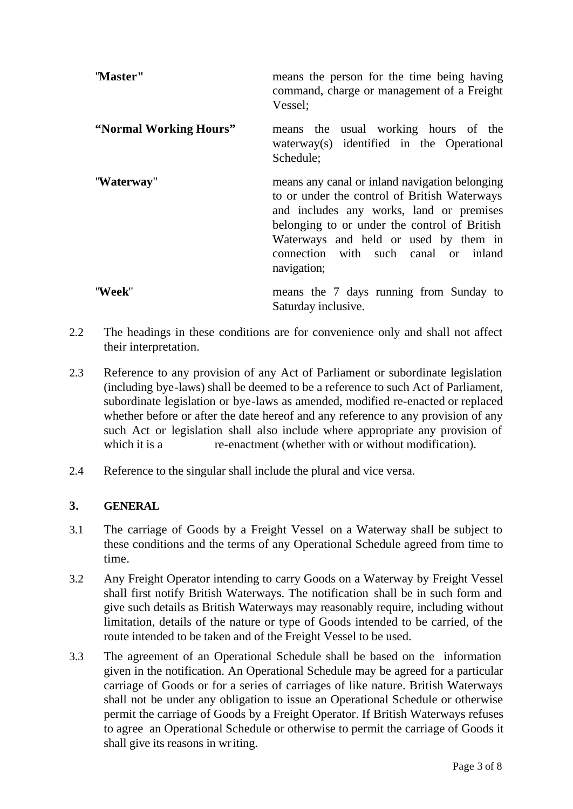| 'Master''              | means the person for the time being having<br>command, charge or management of a Freight<br>Vessel;                                                                                                                                                                                        |
|------------------------|--------------------------------------------------------------------------------------------------------------------------------------------------------------------------------------------------------------------------------------------------------------------------------------------|
| "Normal Working Hours" | means the usual working hours of the<br>waterway(s) identified in the Operational<br>Schedule;                                                                                                                                                                                             |
| "Waterway"             | means any canal or inland navigation belonging<br>to or under the control of British Waterways<br>and includes any works, land or premises<br>belonging to or under the control of British<br>Waterways and held or used by them in<br>connection with such canal or inland<br>navigation; |
| ''Week''               | means the 7 days running from Sunday to<br>Saturday inclusive.                                                                                                                                                                                                                             |

- 2.2 The headings in these conditions are for convenience only and shall not affect their interpretation.
- 2.3 Reference to any provision of any Act of Parliament or subordinate legislation (including bye-laws) shall be deemed to be a reference to such Act of Parliament, subordinate legislation or bye-laws as amended, modified re-enacted or replaced whether before or after the date hereof and any reference to any provision of any such Act or legislation shall also include where appropriate any provision of which it is a re-enactment (whether with or without modification).
- 2.4 Reference to the singular shall include the plural and vice versa.

# **3. GENERAL**

- 3.1 The carriage of Goods by a Freight Vessel on a Waterway shall be subject to these conditions and the terms of any Operational Schedule agreed from time to time.
- 3.2 Any Freight Operator intending to carry Goods on a Waterway by Freight Vessel shall first notify British Waterways. The notification shall be in such form and give such details as British Waterways may reasonably require, including without limitation, details of the nature or type of Goods intended to be carried, of the route intended to be taken and of the Freight Vessel to be used.
- 3.3 The agreement of an Operational Schedule shall be based on the information given in the notification. An Operational Schedule may be agreed for a particular carriage of Goods or for a series of carriages of like nature. British Waterways shall not be under any obligation to issue an Operational Schedule or otherwise permit the carriage of Goods by a Freight Operator. If British Waterways refuses to agree an Operational Schedule or otherwise to permit the carriage of Goods it shall give its reasons in writing.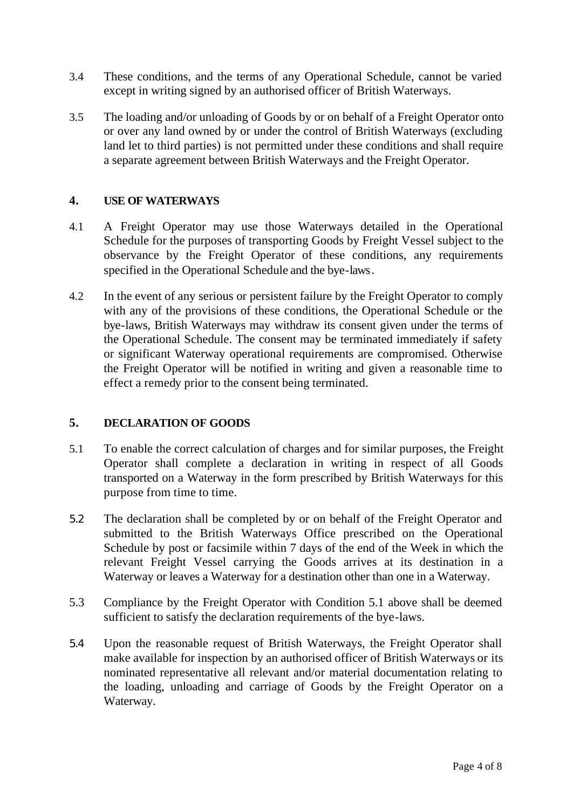- 3.4 These conditions, and the terms of any Operational Schedule, cannot be varied except in writing signed by an authorised officer of British Waterways.
- 3.5 The loading and/or unloading of Goods by or on behalf of a Freight Operator onto or over any land owned by or under the control of British Waterways (excluding land let to third parties) is not permitted under these conditions and shall require a separate agreement between British Waterways and the Freight Operator.

#### **4. USE OF WATERWAYS**

- 4.1 A Freight Operator may use those Waterways detailed in the Operational Schedule for the purposes of transporting Goods by Freight Vessel subject to the observance by the Freight Operator of these conditions, any requirements specified in the Operational Schedule and the bye-laws.
- 4.2 In the event of any serious or persistent failure by the Freight Operator to comply with any of the provisions of these conditions, the Operational Schedule or the bye-laws, British Waterways may withdraw its consent given under the terms of the Operational Schedule. The consent may be terminated immediately if safety or significant Waterway operational requirements are compromised. Otherwise the Freight Operator will be notified in writing and given a reasonable time to effect a remedy prior to the consent being terminated.

## **5. DECLARATION OF GOODS**

- 5.1 To enable the correct calculation of charges and for similar purposes, the Freight Operator shall complete a declaration in writing in respect of all Goods transported on a Waterway in the form prescribed by British Waterways for this purpose from time to time.
- 5.2 The declaration shall be completed by or on behalf of the Freight Operator and submitted to the British Waterways Office prescribed on the Operational Schedule by post or facsimile within 7 days of the end of the Week in which the relevant Freight Vessel carrying the Goods arrives at its destination in a Waterway or leaves a Waterway for a destination other than one in a Waterway.
- 5.3 Compliance by the Freight Operator with Condition 5.1 above shall be deemed sufficient to satisfy the declaration requirements of the bye-laws.
- 5.4 Upon the reasonable request of British Waterways, the Freight Operator shall make available for inspection by an authorised officer of British Waterways or its nominated representative all relevant and/or material documentation relating to the loading, unloading and carriage of Goods by the Freight Operator on a Waterway.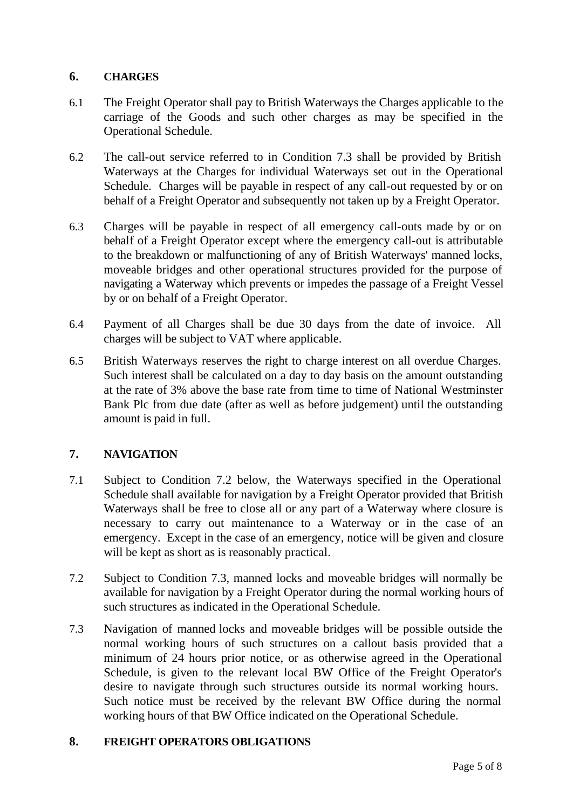## **6. CHARGES**

- 6.1 The Freight Operator shall pay to British Waterways the Charges applicable to the carriage of the Goods and such other charges as may be specified in the Operational Schedule.
- 6.2 The call-out service referred to in Condition 7.3 shall be provided by British Waterways at the Charges for individual Waterways set out in the Operational Schedule. Charges will be payable in respect of any call-out requested by or on behalf of a Freight Operator and subsequently not taken up by a Freight Operator.
- 6.3 Charges will be payable in respect of all emergency call-outs made by or on behalf of a Freight Operator except where the emergency call-out is attributable to the breakdown or malfunctioning of any of British Waterways' manned locks, moveable bridges and other operational structures provided for the purpose of navigating a Waterway which prevents or impedes the passage of a Freight Vessel by or on behalf of a Freight Operator.
- 6.4 Payment of all Charges shall be due 30 days from the date of invoice. All charges will be subject to VAT where applicable.
- 6.5 British Waterways reserves the right to charge interest on all overdue Charges. Such interest shall be calculated on a day to day basis on the amount outstanding at the rate of 3% above the base rate from time to time of National Westminster Bank Plc from due date (after as well as before judgement) until the outstanding amount is paid in full.

# **7. NAVIGATION**

- 7.1 Subject to Condition 7.2 below, the Waterways specified in the Operational Schedule shall available for navigation by a Freight Operator provided that British Waterways shall be free to close all or any part of a Waterway where closure is necessary to carry out maintenance to a Waterway or in the case of an emergency. Except in the case of an emergency, notice will be given and closure will be kept as short as is reasonably practical.
- 7.2 Subject to Condition 7.3, manned locks and moveable bridges will normally be available for navigation by a Freight Operator during the normal working hours of such structures as indicated in the Operational Schedule.
- 7.3 Navigation of manned locks and moveable bridges will be possible outside the normal working hours of such structures on a callout basis provided that a minimum of 24 hours prior notice, or as otherwise agreed in the Operational Schedule, is given to the relevant local BW Office of the Freight Operator's desire to navigate through such structures outside its normal working hours. Such notice must be received by the relevant BW Office during the normal working hours of that BW Office indicated on the Operational Schedule.

## **8. FREIGHT OPERATORS OBLIGATIONS**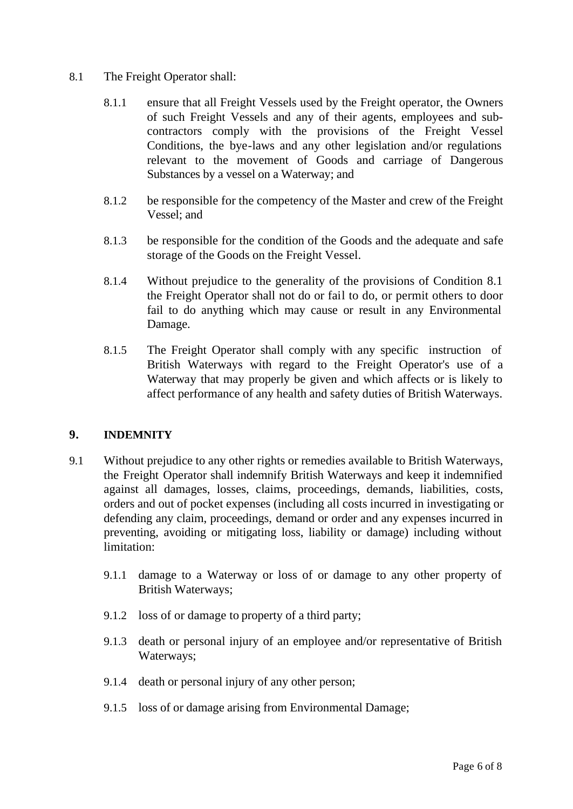## 8.1 The Freight Operator shall:

- 8.1.1 ensure that all Freight Vessels used by the Freight operator, the Owners of such Freight Vessels and any of their agents, employees and subcontractors comply with the provisions of the Freight Vessel Conditions, the bye-laws and any other legislation and/or regulations relevant to the movement of Goods and carriage of Dangerous Substances by a vessel on a Waterway; and
- 8.1.2 be responsible for the competency of the Master and crew of the Freight Vessel; and
- 8.1.3 be responsible for the condition of the Goods and the adequate and safe storage of the Goods on the Freight Vessel.
- 8.1.4 Without prejudice to the generality of the provisions of Condition 8.1 the Freight Operator shall not do or fail to do, or permit others to door fail to do anything which may cause or result in any Environmental Damage.
- 8.1.5 The Freight Operator shall comply with any specific instruction of British Waterways with regard to the Freight Operator's use of a Waterway that may properly be given and which affects or is likely to affect performance of any health and safety duties of British Waterways.

# **9. INDEMNITY**

- 9.1 Without prejudice to any other rights or remedies available to British Waterways, the Freight Operator shall indemnify British Waterways and keep it indemnified against all damages, losses, claims, proceedings, demands, liabilities, costs, orders and out of pocket expenses (including all costs incurred in investigating or defending any claim, proceedings, demand or order and any expenses incurred in preventing, avoiding or mitigating loss, liability or damage) including without limitation:
	- 9.1.1 damage to a Waterway or loss of or damage to any other property of British Waterways;
	- 9.1.2 loss of or damage to property of a third party;
	- 9.1.3 death or personal injury of an employee and/or representative of British Waterways;
	- 9.1.4 death or personal injury of any other person;
	- 9.1.5 loss of or damage arising from Environmental Damage;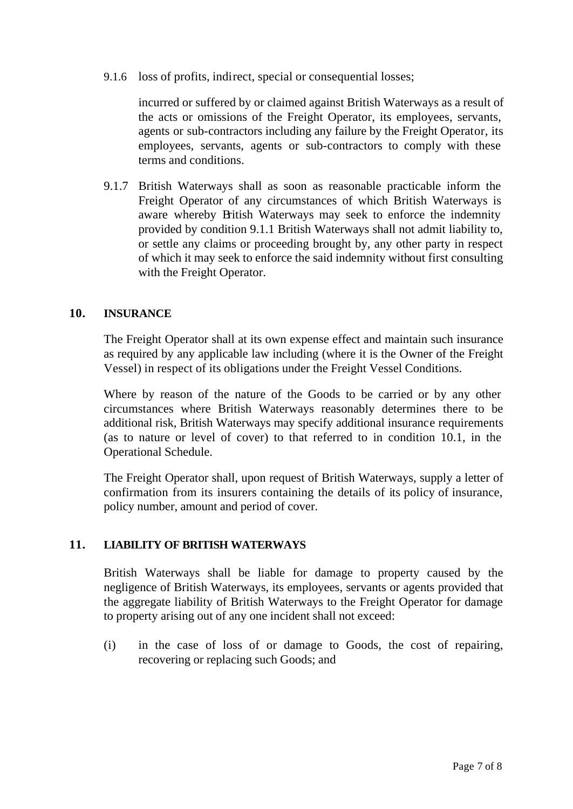9.1.6 loss of profits, indirect, special or consequential losses;

incurred or suffered by or claimed against British Waterways as a result of the acts or omissions of the Freight Operator, its employees, servants, agents or sub-contractors including any failure by the Freight Operator, its employees, servants, agents or sub-contractors to comply with these terms and conditions.

9.1.7 British Waterways shall as soon as reasonable practicable inform the Freight Operator of any circumstances of which British Waterways is aware whereby British Waterways may seek to enforce the indemnity provided by condition 9.1.1 British Waterways shall not admit liability to, or settle any claims or proceeding brought by, any other party in respect of which it may seek to enforce the said indemnity without first consulting with the Freight Operator.

#### **10. INSURANCE**

The Freight Operator shall at its own expense effect and maintain such insurance as required by any applicable law including (where it is the Owner of the Freight Vessel) in respect of its obligations under the Freight Vessel Conditions.

Where by reason of the nature of the Goods to be carried or by any other circumstances where British Waterways reasonably determines there to be additional risk, British Waterways may specify additional insurance requirements (as to nature or level of cover) to that referred to in condition 10.1, in the Operational Schedule.

The Freight Operator shall, upon request of British Waterways, supply a letter of confirmation from its insurers containing the details of its policy of insurance, policy number, amount and period of cover.

## **11. LIABILITY OF BRITISH WATERWAYS**

British Waterways shall be liable for damage to property caused by the negligence of British Waterways, its employees, servants or agents provided that the aggregate liability of British Waterways to the Freight Operator for damage to property arising out of any one incident shall not exceed:

(i) in the case of loss of or damage to Goods, the cost of repairing, recovering or replacing such Goods; and